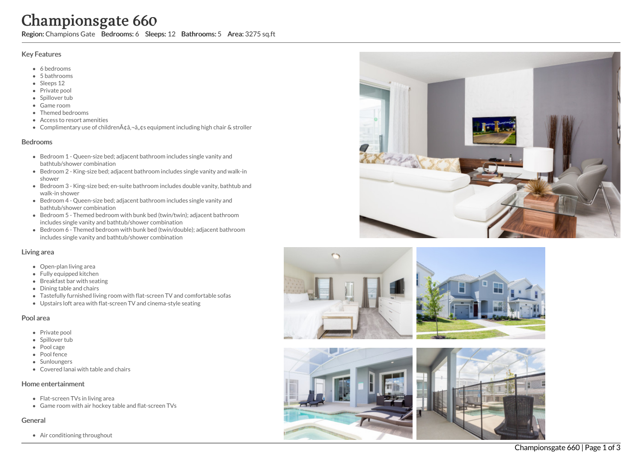# Championsgate 660

Region: Champions Gate Bedrooms: 6 Sleeps: 12 Bathrooms: 5 Area: 3275 sq.ft

## Key Features

- 6 b e d r o o m s
- 5 b a t h r o o m s
- Sleeps 12
- Private pool
- Spillover tub
- Game room
- Themed bedr o o m s
- Access to resort amenities
- Complimentary use of childrenââ,¬â"¢s equipment including high chair & stroller

## **Bedrooms**

- Bedroom 1 Queen-size bed; adjacent bathroom includes single vanity and bathtub/shower combination
- Bedroom 2 King-size bed; adjacent bathroom includes single vanity and walk-in s h o w e r
- Bedroom 3 King-size bed; en-suite bathroom includes double vanity, bathtub and walk-in shower
- Bedroom 4 Queen-size bed; adjacent bathroom includes single vanity and bathtub/shower combination
- Bedroom 5 Themed bedroom with bunk bed (twin/twin); adjacent bathroom includes single vanity and bathtub/shower combination
- Bedroom 6 Themed bedroom with bunk bed (twin/double); adjacent bathroo m includes single vanity and bathtub/shower combination

# Living area

- Open-plan living area
- Fully equipped kitchen
- Breakfast bar with seating
- Dining table and chairs
- Tastefully furnished living room with flat-screen TV and comfortable sofas
- Upstairs loft area with flat-screen TV and cinema-style seating

#### Pool area

- Private pool
- Spillover tub
- Pool cage
- Pool fence
- Sunloungers
- Covered lanai with table and chairs

#### Home entertainment

- Flat-screen TVs in living area
- Game room with air hockey table and flat-screen TVs

# General

Air conditioning throughout









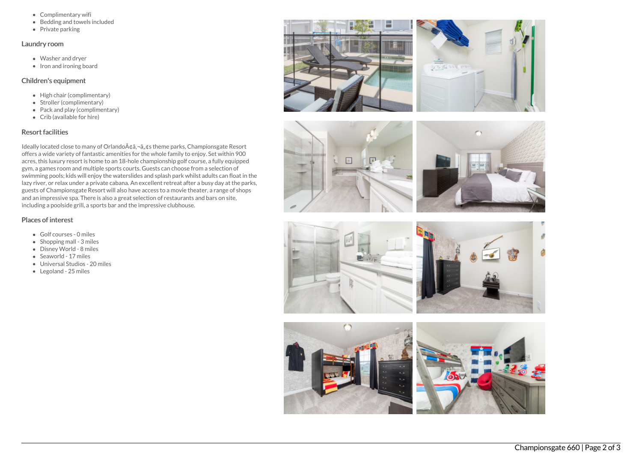- Complimentary wifi
- Bedding and towels included
- $\bullet$  Private parking

#### Laundry room

- Washer and dryer
- $\bullet$  Iron and ironing board

## Children's equipment

- High chair (complimentary)
- Stroller (complimentary)
- Pack and play (complimentary)
- Crib (available for hire)

# Resort facilities

Ideally located close to many of Orlando $A\phi$ ,  $\phi$ ,  $\phi$ s theme parks, Championsgate Resort offers a wide variety of fantastic amenities for the whole family to enjoy. Set within 900 acres, this luxury resort is home to an 18-hole championship golf course, a fully equipped gym, a games room and multiple sports courts. Guests can choose from a selection of swimming pools; kids will enjoy the waterslides and splash park whilst adults can float in the lazy river, or relax under a private cabana. An excellent retreat after a busy day at the parks, guests of Championsgate Resort will also have access to a movie theater, a range of shops and an impressive spa. There is also a great selection of restaurants and bars on site, including a poolside grill, a sports bar and the impressive clubhouse.

# Places of interest

- Golf courses 0 miles
- $\bullet$  Shopping mall 3 miles
- Disney World 8 miles
- Seaworld 17 miles
- Universal Studios 20 miles
- Legoland 25 miles